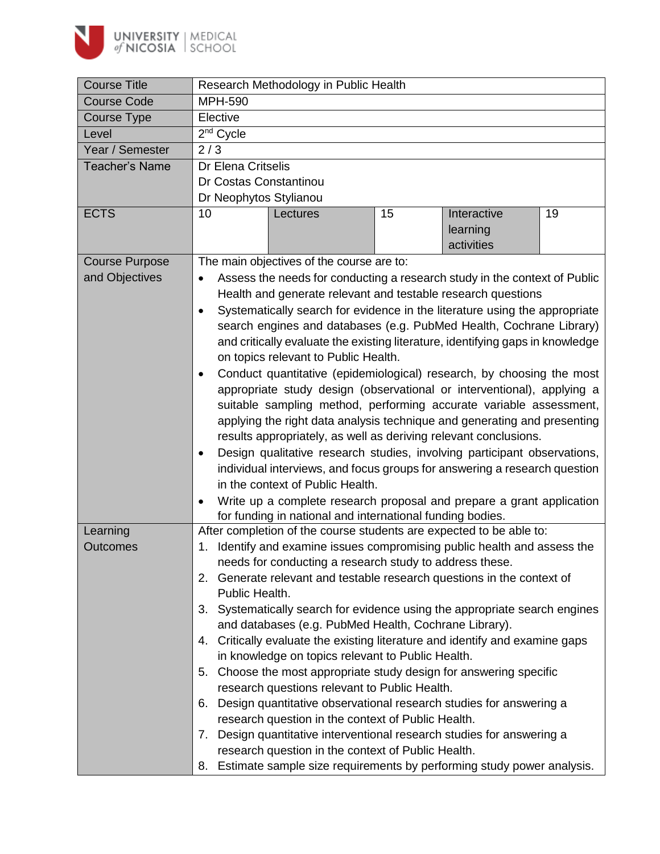

| <b>Course Title</b>   | Research Methodology in Public Health                                                                                                           |  |  |  |  |  |  |
|-----------------------|-------------------------------------------------------------------------------------------------------------------------------------------------|--|--|--|--|--|--|
| <b>Course Code</b>    | <b>MPH-590</b>                                                                                                                                  |  |  |  |  |  |  |
| Course Type           | Elective                                                                                                                                        |  |  |  |  |  |  |
| Level                 | 2 <sup>nd</sup> Cycle                                                                                                                           |  |  |  |  |  |  |
| Year / Semester       | 2/3                                                                                                                                             |  |  |  |  |  |  |
| <b>Teacher's Name</b> | Dr Elena Critselis                                                                                                                              |  |  |  |  |  |  |
|                       | Dr Costas Constantinou                                                                                                                          |  |  |  |  |  |  |
|                       | Dr Neophytos Stylianou                                                                                                                          |  |  |  |  |  |  |
| <b>ECTS</b>           | 15<br>Interactive<br>19<br>10<br>Lectures<br>learning<br>activities                                                                             |  |  |  |  |  |  |
| <b>Course Purpose</b> | The main objectives of the course are to:                                                                                                       |  |  |  |  |  |  |
| and Objectives        | Assess the needs for conducting a research study in the context of Public<br>$\bullet$                                                          |  |  |  |  |  |  |
|                       | Health and generate relevant and testable research questions                                                                                    |  |  |  |  |  |  |
|                       | Systematically search for evidence in the literature using the appropriate<br>$\bullet$                                                         |  |  |  |  |  |  |
|                       | search engines and databases (e.g. PubMed Health, Cochrane Library)                                                                             |  |  |  |  |  |  |
|                       | and critically evaluate the existing literature, identifying gaps in knowledge                                                                  |  |  |  |  |  |  |
|                       | on topics relevant to Public Health.                                                                                                            |  |  |  |  |  |  |
|                       | Conduct quantitative (epidemiological) research, by choosing the most<br>$\bullet$                                                              |  |  |  |  |  |  |
|                       | appropriate study design (observational or interventional), applying a                                                                          |  |  |  |  |  |  |
|                       | suitable sampling method, performing accurate variable assessment,                                                                              |  |  |  |  |  |  |
|                       | applying the right data analysis technique and generating and presenting                                                                        |  |  |  |  |  |  |
|                       | results appropriately, as well as deriving relevant conclusions.                                                                                |  |  |  |  |  |  |
|                       | Design qualitative research studies, involving participant observations,<br>$\bullet$                                                           |  |  |  |  |  |  |
|                       | individual interviews, and focus groups for answering a research question                                                                       |  |  |  |  |  |  |
|                       | in the context of Public Health.                                                                                                                |  |  |  |  |  |  |
|                       | Write up a complete research proposal and prepare a grant application<br>$\bullet$<br>for funding in national and international funding bodies. |  |  |  |  |  |  |
| Learning              | After completion of the course students are expected to be able to:                                                                             |  |  |  |  |  |  |
| Outcomes              | 1. Identify and examine issues compromising public health and assess the                                                                        |  |  |  |  |  |  |
|                       | needs for conducting a research study to address these.                                                                                         |  |  |  |  |  |  |
|                       | Generate relevant and testable research questions in the context of<br>2.                                                                       |  |  |  |  |  |  |
|                       | Public Health.                                                                                                                                  |  |  |  |  |  |  |
|                       | 3. Systematically search for evidence using the appropriate search engines                                                                      |  |  |  |  |  |  |
|                       | and databases (e.g. PubMed Health, Cochrane Library).                                                                                           |  |  |  |  |  |  |
|                       | 4. Critically evaluate the existing literature and identify and examine gaps                                                                    |  |  |  |  |  |  |
|                       | in knowledge on topics relevant to Public Health.                                                                                               |  |  |  |  |  |  |
|                       | Choose the most appropriate study design for answering specific<br>5.                                                                           |  |  |  |  |  |  |
|                       | research questions relevant to Public Health.                                                                                                   |  |  |  |  |  |  |
|                       | Design quantitative observational research studies for answering a<br>6.                                                                        |  |  |  |  |  |  |
|                       | research question in the context of Public Health.                                                                                              |  |  |  |  |  |  |
|                       | Design quantitative interventional research studies for answering a<br>7.                                                                       |  |  |  |  |  |  |
|                       | research question in the context of Public Health.                                                                                              |  |  |  |  |  |  |
|                       | Estimate sample size requirements by performing study power analysis.<br>8.                                                                     |  |  |  |  |  |  |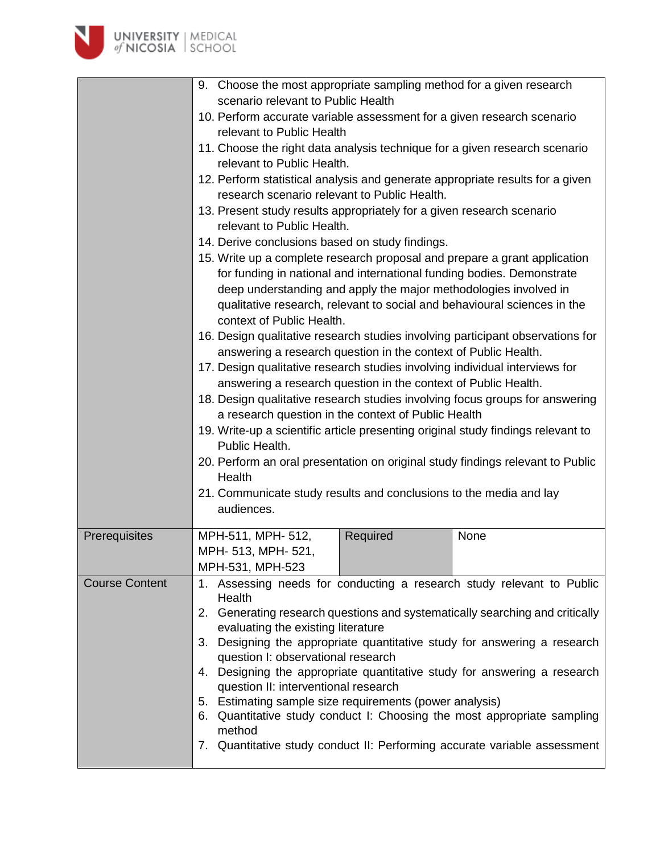

|                       | 9. Choose the most appropriate sampling method for a given research                                                                                                                                                                                                                                                                                                                                                                                          |  |  |  |  |  |  |
|-----------------------|--------------------------------------------------------------------------------------------------------------------------------------------------------------------------------------------------------------------------------------------------------------------------------------------------------------------------------------------------------------------------------------------------------------------------------------------------------------|--|--|--|--|--|--|
|                       | scenario relevant to Public Health<br>10. Perform accurate variable assessment for a given research scenario                                                                                                                                                                                                                                                                                                                                                 |  |  |  |  |  |  |
|                       |                                                                                                                                                                                                                                                                                                                                                                                                                                                              |  |  |  |  |  |  |
|                       | relevant to Public Health                                                                                                                                                                                                                                                                                                                                                                                                                                    |  |  |  |  |  |  |
|                       | 11. Choose the right data analysis technique for a given research scenario                                                                                                                                                                                                                                                                                                                                                                                   |  |  |  |  |  |  |
|                       | relevant to Public Health.                                                                                                                                                                                                                                                                                                                                                                                                                                   |  |  |  |  |  |  |
|                       | 12. Perform statistical analysis and generate appropriate results for a given<br>research scenario relevant to Public Health.                                                                                                                                                                                                                                                                                                                                |  |  |  |  |  |  |
|                       | 13. Present study results appropriately for a given research scenario                                                                                                                                                                                                                                                                                                                                                                                        |  |  |  |  |  |  |
|                       | relevant to Public Health.                                                                                                                                                                                                                                                                                                                                                                                                                                   |  |  |  |  |  |  |
|                       | 14. Derive conclusions based on study findings.                                                                                                                                                                                                                                                                                                                                                                                                              |  |  |  |  |  |  |
|                       | 15. Write up a complete research proposal and prepare a grant application                                                                                                                                                                                                                                                                                                                                                                                    |  |  |  |  |  |  |
|                       | for funding in national and international funding bodies. Demonstrate                                                                                                                                                                                                                                                                                                                                                                                        |  |  |  |  |  |  |
|                       | deep understanding and apply the major methodologies involved in                                                                                                                                                                                                                                                                                                                                                                                             |  |  |  |  |  |  |
|                       | qualitative research, relevant to social and behavioural sciences in the                                                                                                                                                                                                                                                                                                                                                                                     |  |  |  |  |  |  |
|                       | context of Public Health.                                                                                                                                                                                                                                                                                                                                                                                                                                    |  |  |  |  |  |  |
|                       | 16. Design qualitative research studies involving participant observations for                                                                                                                                                                                                                                                                                                                                                                               |  |  |  |  |  |  |
|                       | answering a research question in the context of Public Health.<br>17. Design qualitative research studies involving individual interviews for<br>answering a research question in the context of Public Health.<br>18. Design qualitative research studies involving focus groups for answering<br>a research question in the context of Public Health<br>19. Write-up a scientific article presenting original study findings relevant to<br>Public Health. |  |  |  |  |  |  |
|                       |                                                                                                                                                                                                                                                                                                                                                                                                                                                              |  |  |  |  |  |  |
|                       |                                                                                                                                                                                                                                                                                                                                                                                                                                                              |  |  |  |  |  |  |
|                       |                                                                                                                                                                                                                                                                                                                                                                                                                                                              |  |  |  |  |  |  |
|                       |                                                                                                                                                                                                                                                                                                                                                                                                                                                              |  |  |  |  |  |  |
|                       |                                                                                                                                                                                                                                                                                                                                                                                                                                                              |  |  |  |  |  |  |
|                       | 20. Perform an oral presentation on original study findings relevant to Public                                                                                                                                                                                                                                                                                                                                                                               |  |  |  |  |  |  |
|                       | Health                                                                                                                                                                                                                                                                                                                                                                                                                                                       |  |  |  |  |  |  |
|                       | 21. Communicate study results and conclusions to the media and lay                                                                                                                                                                                                                                                                                                                                                                                           |  |  |  |  |  |  |
|                       | audiences.                                                                                                                                                                                                                                                                                                                                                                                                                                                   |  |  |  |  |  |  |
| Prerequisites         | MPH-511, MPH- 512,<br>Required<br>None                                                                                                                                                                                                                                                                                                                                                                                                                       |  |  |  |  |  |  |
|                       | MPH- 513, MPH- 521,                                                                                                                                                                                                                                                                                                                                                                                                                                          |  |  |  |  |  |  |
|                       | MPH-531, MPH-523                                                                                                                                                                                                                                                                                                                                                                                                                                             |  |  |  |  |  |  |
| <b>Course Content</b> | 1. Assessing needs for conducting a research study relevant to Public<br>Health                                                                                                                                                                                                                                                                                                                                                                              |  |  |  |  |  |  |
|                       | 2. Generating research questions and systematically searching and critically                                                                                                                                                                                                                                                                                                                                                                                 |  |  |  |  |  |  |
|                       | evaluating the existing literature                                                                                                                                                                                                                                                                                                                                                                                                                           |  |  |  |  |  |  |
|                       | 3. Designing the appropriate quantitative study for answering a research                                                                                                                                                                                                                                                                                                                                                                                     |  |  |  |  |  |  |
|                       | question I: observational research                                                                                                                                                                                                                                                                                                                                                                                                                           |  |  |  |  |  |  |
|                       | 4. Designing the appropriate quantitative study for answering a research<br>question II: interventional research                                                                                                                                                                                                                                                                                                                                             |  |  |  |  |  |  |
|                       | 5. Estimating sample size requirements (power analysis)                                                                                                                                                                                                                                                                                                                                                                                                      |  |  |  |  |  |  |
|                       | Quantitative study conduct I: Choosing the most appropriate sampling                                                                                                                                                                                                                                                                                                                                                                                         |  |  |  |  |  |  |
|                       | 6.<br>method                                                                                                                                                                                                                                                                                                                                                                                                                                                 |  |  |  |  |  |  |
|                       | 7. Quantitative study conduct II: Performing accurate variable assessment                                                                                                                                                                                                                                                                                                                                                                                    |  |  |  |  |  |  |
|                       |                                                                                                                                                                                                                                                                                                                                                                                                                                                              |  |  |  |  |  |  |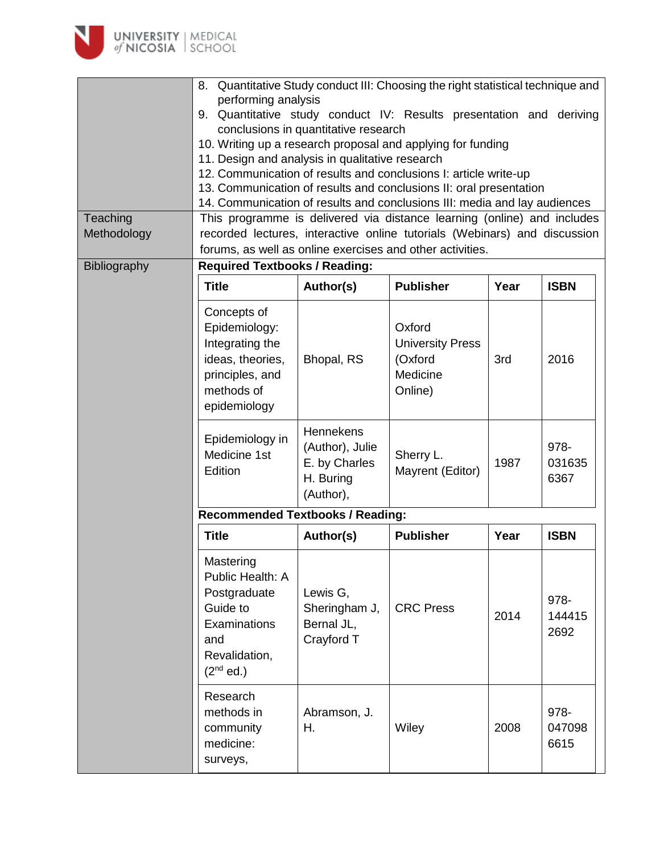

|              | 8. Quantitative Study conduct III: Choosing the right statistical technique and                                                                                                                                     |                                                                         |                                                                     |      |                        |  |  |  |
|--------------|---------------------------------------------------------------------------------------------------------------------------------------------------------------------------------------------------------------------|-------------------------------------------------------------------------|---------------------------------------------------------------------|------|------------------------|--|--|--|
|              | performing analysis<br>9. Quantitative study conduct IV: Results presentation and deriving                                                                                                                          |                                                                         |                                                                     |      |                        |  |  |  |
|              | conclusions in quantitative research                                                                                                                                                                                |                                                                         |                                                                     |      |                        |  |  |  |
|              | 10. Writing up a research proposal and applying for funding                                                                                                                                                         |                                                                         |                                                                     |      |                        |  |  |  |
|              | 11. Design and analysis in qualitative research                                                                                                                                                                     |                                                                         |                                                                     |      |                        |  |  |  |
|              | 12. Communication of results and conclusions I: article write-up<br>13. Communication of results and conclusions II: oral presentation<br>14. Communication of results and conclusions III: media and lay audiences |                                                                         |                                                                     |      |                        |  |  |  |
|              |                                                                                                                                                                                                                     |                                                                         |                                                                     |      |                        |  |  |  |
|              |                                                                                                                                                                                                                     |                                                                         |                                                                     |      |                        |  |  |  |
| Teaching     | This programme is delivered via distance learning (online) and includes                                                                                                                                             |                                                                         |                                                                     |      |                        |  |  |  |
| Methodology  | recorded lectures, interactive online tutorials (Webinars) and discussion                                                                                                                                           |                                                                         |                                                                     |      |                        |  |  |  |
|              | forums, as well as online exercises and other activities.                                                                                                                                                           |                                                                         |                                                                     |      |                        |  |  |  |
| Bibliography | <b>Required Textbooks / Reading:</b>                                                                                                                                                                                |                                                                         |                                                                     |      |                        |  |  |  |
|              | <b>Title</b>                                                                                                                                                                                                        | Author(s)                                                               | <b>Publisher</b>                                                    | Year | <b>ISBN</b>            |  |  |  |
|              | Concepts of<br>Epidemiology:<br>Integrating the<br>ideas, theories,<br>principles, and<br>methods of<br>epidemiology                                                                                                | Bhopal, RS                                                              | Oxford<br><b>University Press</b><br>(Oxford<br>Medicine<br>Online) | 3rd  | 2016                   |  |  |  |
|              | Epidemiology in<br>Medicine 1st<br>Edition                                                                                                                                                                          | Hennekens<br>(Author), Julie<br>E. by Charles<br>H. Buring<br>(Author), | Sherry L.<br>Mayrent (Editor)                                       | 1987 | 978-<br>031635<br>6367 |  |  |  |
|              | <b>Recommended Textbooks / Reading:</b>                                                                                                                                                                             |                                                                         |                                                                     |      |                        |  |  |  |
|              | <b>Title</b>                                                                                                                                                                                                        | Author(s)                                                               | <b>Publisher</b>                                                    | Year | <b>ISBN</b>            |  |  |  |
|              | Mastering<br>Public Health: A<br>Postgraduate<br>Guide to<br>Examinations<br>and<br>Revalidation,<br>$(2^{nd}$ ed.)                                                                                                 | Lewis G,<br>Sheringham J,<br>Bernal JL,<br>Crayford T                   | <b>CRC Press</b>                                                    | 2014 | 978-<br>144415<br>2692 |  |  |  |
|              | Research<br>methods in<br>community<br>medicine:<br>surveys,                                                                                                                                                        | Abramson, J.<br>Η.                                                      | Wiley                                                               | 2008 | 978-<br>047098<br>6615 |  |  |  |